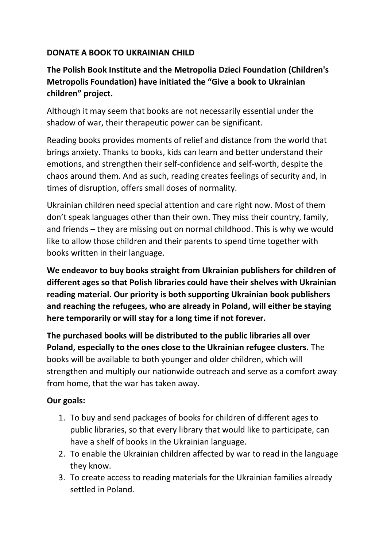#### **DONATE A BOOK TO UKRAINIAN CHILD**

# **The Polish Book Institute and the Metropolia Dzieci Foundation (Children's Metropolis Foundation) have initiated the "Give a book to Ukrainian children" project.**

Although it may seem that books are not necessarily essential under the shadow of war, their therapeutic power can be significant.

Reading books provides moments of relief and distance from the world that brings anxiety. Thanks to books, kids can learn and better understand their emotions, and strengthen their self-confidence and self-worth, despite the chaos around them. And as such, reading creates feelings of security and, in times of disruption, offers small doses of normality.

Ukrainian children need special attention and care right now. Most of them don't speak languages other than their own. They miss their country, family, and friends – they are missing out on normal childhood. This is why we would like to allow those children and their parents to spend time together with books written in their language.

**We endeavor to buy books straight from Ukrainian publishers for children of different ages so that Polish libraries could have their shelves with Ukrainian reading material. Our priority is both supporting Ukrainian book publishers and reaching the refugees, who are already in Poland, will either be staying here temporarily or will stay for a long time if not forever.** 

**The purchased books will be distributed to the public libraries all over Poland, especially to the ones close to the Ukrainian refugee clusters.** The books will be available to both younger and older children, which will strengthen and multiply our nationwide outreach and serve as a comfort away from home, that the war has taken away.

## **Our goals:**

- 1. To buy and send packages of books for children of different ages to public libraries, so that every library that would like to participate, can have a shelf of books in the Ukrainian language.
- 2. To enable the Ukrainian children affected by war to read in the language they know.
- 3. To create access to reading materials for the Ukrainian families already settled in Poland.